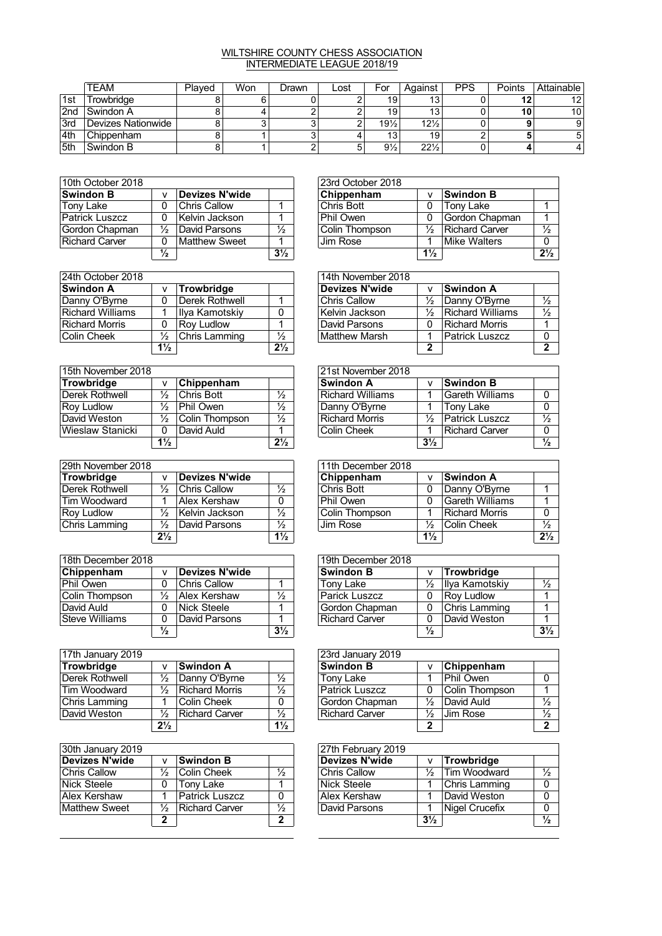## WILTSHIRE COUNTY CHESS ASSOCIATION INTERMEDIATE LEAGUE 2018/19

|     | <b>TEAM</b>            | Plaved | Won | Drawn | Lost | For             | Aqainst         | PPS | Points | Attainable      |
|-----|------------------------|--------|-----|-------|------|-----------------|-----------------|-----|--------|-----------------|
| 1st | <sup>-</sup> rowbridae |        |     |       |      | 19              | 13              |     |        | 12 <sup>2</sup> |
| 2nd | <b>Swindon A</b>       |        |     |       |      | 19              | 13.             |     |        | 10 <sup>°</sup> |
| 3rd | Devizes Nationwide     |        |     |       |      | $19\frac{1}{2}$ | $12\frac{1}{2}$ |     |        | 9               |
| 4th | Chippenham             |        |     |       |      | 13              | 19              |     |        | 5               |
| 5th | Swindon B              |        |     |       |      | $9\frac{1}{2}$  | $22\frac{1}{2}$ |     |        |                 |

| 10th October 2018     |               |                       |                | 23rd October 2018 |                |                    |
|-----------------------|---------------|-----------------------|----------------|-------------------|----------------|--------------------|
| <b>Swindon B</b>      |               | <b>Devizes N'wide</b> |                | Chippenham        |                | <b>Swindon B</b>   |
| Tony Lake             | 0             | Chris Callow          |                | Chris Bott        |                | Tonv Lake          |
| <b>Patrick Luszcz</b> | 0             | Kelvin Jackson        |                | Phil Owen         | 0              | ∣Gordon Cha        |
| Gordon Chapman        | ⅓             | David Parsons         | ⅓              | Colin Thompson    | $\frac{1}{2}$  | <b>Richard Car</b> |
| Richard Carver        | 0             | Matthew Sweet         |                | Jim Rose          |                | ⊺Mike Walter       |
|                       | $\frac{1}{2}$ |                       | $3\frac{1}{2}$ |                   | $1\frac{1}{2}$ |                    |

| 24th October 2018 |                |                   |               | 14th November 2018   |   |                     |
|-------------------|----------------|-------------------|---------------|----------------------|---|---------------------|
| <b>Swindon A</b>  |                | <b>Trowbridge</b> |               | Devizes N'wide       |   | Swindon A           |
| Danny O'Byrne     | 0              | Derek Rothwell    |               | <b>Chris Callow</b>  | ⅓ | Danny O'By          |
| Richard Williams  |                | Illva Kamotskiv   |               | Kelvin Jackson       | ⅓ | Richard Will        |
| Richard Morris    | 0              | <b>Rov Ludlow</b> |               | David Parsons        | 0 | Richard Mor         |
| Colin Cheek       | ⅛              | Chris Lamming     | $\frac{1}{2}$ | <b>Matthew Marsh</b> |   | <b>Patrick Lus:</b> |
|                   | $1\frac{1}{2}$ |                   | $2^{1/2}$     |                      |   |                     |

| 15th November 2018 |                |                |                | 21st November 2018      |                |                     |  |  |
|--------------------|----------------|----------------|----------------|-------------------------|----------------|---------------------|--|--|
| Trowbridge         |                | Chippenham     |                | <b>Swindon A</b>        |                | <b>Swindon B</b>    |  |  |
| Derek Rothwell     | ⅓              | Chris Bott     | $\frac{1}{2}$  | <b>Richard Williams</b> |                | Gareth Willi        |  |  |
| <b>Roy Ludlow</b>  | ⅓              | Phil Owen      | ⅓              | Danny O'Byrne           |                | Tonv Lake           |  |  |
| David Weston       | ⅓              | Colin Thompson | $\frac{1}{2}$  | <b>Richard Morris</b>   | $\frac{1}{2}$  | <b>Patrick Lus.</b> |  |  |
| Wieslaw Stanicki   | 0              | David Auld     |                | Colin Cheek             |                | Richard Car         |  |  |
|                    | $1\frac{1}{2}$ |                | $2\frac{1}{2}$ |                         | $3\frac{1}{2}$ |                     |  |  |

| 29th November 2018  |                |                |                | 11th December 2018 |                |                    |
|---------------------|----------------|----------------|----------------|--------------------|----------------|--------------------|
| Trowbridge          | v              | Devizes N'wide |                | Chippenham         | v              | ∣Swindon A         |
| Derek Rothwell      | ⅓              | Chris Callow   | ⅓              | <b>Chris Bott</b>  | 0              | Danny O'By         |
| <b>Tim Woodward</b> |                | Alex Kershaw   | 0              | Phil Owen          | 0              | Gareth Willi       |
| <b>Roy Ludlow</b>   | ⅓              | Kelvin Jackson | $\frac{1}{2}$  | Colin Thompson     |                | Richard Mor        |
| Chris Lamming       | ⅓              | David Parsons  | $\frac{1}{2}$  | ∣Jim Rose          | ⅓              | <b>Colin Cheek</b> |
|                     | $2\frac{1}{2}$ |                | $1\frac{1}{2}$ |                    | $1\frac{1}{2}$ |                    |

| 18th December 2018 |               |                       |                | 19th December 2018    |               |              |
|--------------------|---------------|-----------------------|----------------|-----------------------|---------------|--------------|
| Chippenham         | v             | <b>Devizes N'wide</b> |                | <b>Swindon B</b>      |               | Trowbridge   |
| iPhil Owen         | 0             | <b>Chris Callow</b>   |                | Tony Lake             | ⅓             | Ilya Kamotsi |
| Colin Thompson     | ⅓             | Alex Kershaw          | $\frac{1}{2}$  | <b>Parick Luszcz</b>  |               | Rov Ludlow   |
| David Auld         | 0             | Nick Steele           |                | Gordon Chapman        | 0             | Chris Lammi  |
| Steve Williams     | 0             | David Parsons         |                | <b>Richard Carver</b> |               | David Westo  |
|                    | $\frac{1}{2}$ |                       | $3\frac{1}{2}$ |                       | $\frac{1}{2}$ |              |

| 17th January 2019 |                |                       |                | 23rd January 2019     |               |                |               |
|-------------------|----------------|-----------------------|----------------|-----------------------|---------------|----------------|---------------|
| Trowbridge        |                | <b>Swindon A</b>      |                | <b>Swindon B</b>      |               | Chippenham     |               |
| Derek Rothwell    | ⅓              | Danny O'Byrne         | $\frac{1}{2}$  | Tonv Lake             |               | ∣Phil Owen     |               |
| Tim Woodward      | ⅓              | <b>Richard Morris</b> | $\frac{1}{2}$  | <b>Patrick Luszcz</b> |               | Colin Thompson |               |
| Chris Lamming     |                | Colin Cheek           | 0              | Gordon Chapman        | $\frac{1}{2}$ | David Auld     | $\frac{1}{2}$ |
| David Weston      | ⅓              | Richard Carver        | $\frac{1}{2}$  | <b>Richard Carver</b> | $\frac{1}{2}$ | Jim Rose       | $\frac{1}{2}$ |
|                   | $2\frac{1}{2}$ |                       | $1\frac{1}{2}$ |                       | ∍             |                | 2             |

| 30th January 2019     |   |                       |               | 27th February 2019 |                |                              |
|-----------------------|---|-----------------------|---------------|--------------------|----------------|------------------------------|
| <b>Devizes N'wide</b> | v | <b>Swindon B</b>      |               | Devizes N'wide     |                | Trowbridge                   |
| <b>Chris Callow</b>   | ⅓ | Colin Cheek           | $\frac{1}{2}$ | Chris Callow       |                | 1/ <sub>2</sub>   Tim Woodwa |
| Nick Steele           | 0 | Tony Lake             | 1             | Nick Steele        |                | ∣Chris Lammi                 |
| <b>Alex Kershaw</b>   |   | <b>Patrick Luszcz</b> | 0             | Alex Kershaw       |                | David Westo                  |
| Matthew Sweet         | ⅓ | Richard Carver        | $\frac{1}{2}$ | David Parsons      |                | Nigel Crucef                 |
|                       | 2 |                       | $\mathbf{2}$  |                    | $3\frac{1}{2}$ |                              |

| 10th October 2018 |               |                       |                |                | 23rd October 2018 |                |                |  |  |  |  |  |
|-------------------|---------------|-----------------------|----------------|----------------|-------------------|----------------|----------------|--|--|--|--|--|
| Swindon B         | v             | <b>Devizes N'wide</b> |                | Chippenham     | v                 | ∣Swindon B     |                |  |  |  |  |  |
| Tonv Lake         | 0             | Chris Callow          |                | Chris Bott     | 0                 | Tonv Lake      |                |  |  |  |  |  |
| Patrick Luszcz    | 0             | Kelvin Jackson        |                | Phil Owen      | 0                 | Gordon Chapman |                |  |  |  |  |  |
| Gordon Chapman    | ⅓             | David Parsons         | $\frac{1}{2}$  | Colin Thompson | ⅓                 | Richard Carver | $\frac{1}{2}$  |  |  |  |  |  |
| Richard Carver    | 0             | Matthew Sweet         |                | Jim Rose       |                   | Mike Walters   |                |  |  |  |  |  |
|                   | $\frac{1}{2}$ |                       | $3\frac{1}{2}$ |                | $1\frac{1}{2}$    |                | $2\frac{1}{2}$ |  |  |  |  |  |

| 24th October 2018 |                |                   |                | 14th November 2018    |   |                  |               |  |  |  |
|-------------------|----------------|-------------------|----------------|-----------------------|---|------------------|---------------|--|--|--|
| Swindon A         |                | <b>Trowbridge</b> |                | <b>Devizes N'wide</b> |   | <b>Swindon A</b> |               |  |  |  |
| Danny O'Byrne     | 0              | Derek Rothwell    |                | <b>Chris Callow</b>   | ⅓ | Danny O'Byrne    | $\frac{1}{2}$ |  |  |  |
| Richard Williams  |                | Ilya Kamotskiy    |                | Kelvin Jackson        | ⅓ | Richard Williams | $\frac{1}{2}$ |  |  |  |
| Richard Morris    |                | <b>Rov Ludlow</b> |                | David Parsons         | 0 | Richard Morris   |               |  |  |  |
| Colin Cheek       | $\frac{1}{2}$  | Chris Lamming     | $\frac{1}{2}$  | Matthew Marsh         |   | Patrick Luszcz   |               |  |  |  |
|                   | $1\frac{1}{2}$ |                   | $2\frac{1}{2}$ |                       | ົ |                  |               |  |  |  |

| 15th November 2018 |                |                |                | 21st November 2018 |                |                        |               |  |  |  |  |
|--------------------|----------------|----------------|----------------|--------------------|----------------|------------------------|---------------|--|--|--|--|
| Trowbridge         |                | Chippenham     |                | <b>Swindon A</b>   |                | <b>Swindon B</b>       |               |  |  |  |  |
| Derek Rothwell     | ⅓              | ∣Chris Bott    | $\frac{1}{2}$  | Richard Williams   |                | <b>Gareth Williams</b> |               |  |  |  |  |
| Rov Ludlow         | ⅓              | Phil Owen      | $\frac{1}{2}$  | Danny O'Byrne      |                | Tony Lake              |               |  |  |  |  |
| David Weston       | ⅓              | Colin Thompson | $\frac{1}{2}$  | Richard Morris     | $\frac{1}{2}$  | <b>Patrick Luszcz</b>  | $\frac{1}{2}$ |  |  |  |  |
| Wieslaw Stanicki   | 0              | David Auld     |                | Colin Cheek        |                | <b>Richard Carver</b>  |               |  |  |  |  |
|                    | $1\frac{1}{2}$ |                | $2\frac{1}{2}$ |                    | $3\frac{1}{2}$ |                        | $\frac{1}{2}$ |  |  |  |  |

| 29th November 2018 |                |                     |                | 11th December 2018 |                |                  |                |
|--------------------|----------------|---------------------|----------------|--------------------|----------------|------------------|----------------|
| Trowbridge         |                | Devizes N'wide      |                | Chippenham         |                | <b>Swindon A</b> |                |
| Derek Rothwell     | ⅓              | <b>Chris Callow</b> | $\frac{1}{2}$  | Chris Bott         | 0              | Danny O'Byrne    |                |
| Tim Woodward       |                | Alex Kershaw        |                | Phil Owen          | 0              | Gareth Williams  |                |
| Roy Ludlow         | ⅛              | Kelvin Jackson      | $\frac{1}{2}$  | Colin Thompson     |                | Richard Morris   |                |
| Chris Lamming      | ⅓              | David Parsons       | $\frac{1}{2}$  | Jim Rose           | $\frac{1}{2}$  | Colin Cheek      | $\frac{1}{2}$  |
|                    | $2\frac{1}{2}$ |                     | $1\frac{1}{2}$ |                    | $1\frac{1}{2}$ |                  | $2\frac{1}{2}$ |
|                    |                |                     |                |                    |                |                  |                |

| 18th December 2018 |               |                |                |  | 19th December 2018   |               |                      |                |  |  |
|--------------------|---------------|----------------|----------------|--|----------------------|---------------|----------------------|----------------|--|--|
| Chippenham         | v             | Devizes N'wide |                |  | <b>Swindon B</b>     |               | Trowbridge           |                |  |  |
| Phil Owen          | 0             | Chris Callow   |                |  | Tony Lake            | $\frac{1}{2}$ | Ilya Kamotskiy       |                |  |  |
| Colin Thompson     | $\frac{1}{2}$ | Alex Kershaw   | $\frac{1}{2}$  |  | <b>Parick Luszcz</b> |               | <b>Rov Ludlow</b>    |                |  |  |
| David Auld         |               | Nick Steele    |                |  | Gordon Chapman       |               | <b>Chris Lamming</b> |                |  |  |
| Steve Williams     | 0             | David Parsons  |                |  | Richard Carver       |               | David Weston         |                |  |  |
|                    | $\frac{1}{2}$ |                | $3\frac{1}{2}$ |  |                      | $\frac{1}{2}$ |                      | $3\frac{1}{2}$ |  |  |

| 17th January 2019 |                |                  |                | 23rd January 2019     |               |                   |   |
|-------------------|----------------|------------------|----------------|-----------------------|---------------|-------------------|---|
| Trowbridge        | v              | <b>Swindon A</b> |                | Swindon B             |               | <b>Chippenham</b> |   |
| Derek Rothwell    | ⅓              | Danny O'Byrne    | $\frac{1}{2}$  | Tony Lake             |               | Phil Owen         |   |
| Tim Woodward      | ⅓              | Richard Morris   | $\frac{1}{2}$  | <b>Patrick Luszcz</b> | 0             | Colin Thompson    |   |
| Chris Lamming     |                | Colin Cheek      | <sup>n</sup>   | Gordon Chapman        | $\frac{1}{2}$ | David Auld        |   |
| David Weston      | ⅓              | Richard Carver   | $\frac{1}{2}$  | Richard Carver        | ⅓             | ∣Jim Rose         |   |
|                   | $2\frac{1}{2}$ |                  | $1\frac{1}{2}$ |                       | ∍             |                   | ີ |

| 30th January 2019 |               |                  |               | 27th February 2019  |                |                     |  |
|-------------------|---------------|------------------|---------------|---------------------|----------------|---------------------|--|
| Devizes N'wide    | v             | <b>Swindon B</b> |               | Devizes N'wide      |                | Trowbridge          |  |
| Chris Callow      | ⅓             | Colin Cheek      | $\frac{1}{2}$ | <b>Chris Callow</b> | ⅓              | <b>Tim Woodward</b> |  |
| Nick Steele       | 0             | Tony Lake        |               | Nick Steele         |                | Chris Lamming       |  |
| Alex Kershaw      |               | Patrick Luszcz   | $\cap$        | Alex Kershaw        |                | David Weston        |  |
| Matthew Sweet     | $\frac{1}{2}$ | Richard Carver   | $\frac{1}{2}$ | David Parsons       |                | Nigel Crucefix      |  |
|                   | າ             |                  | ◠             |                     | $3\frac{1}{2}$ |                     |  |